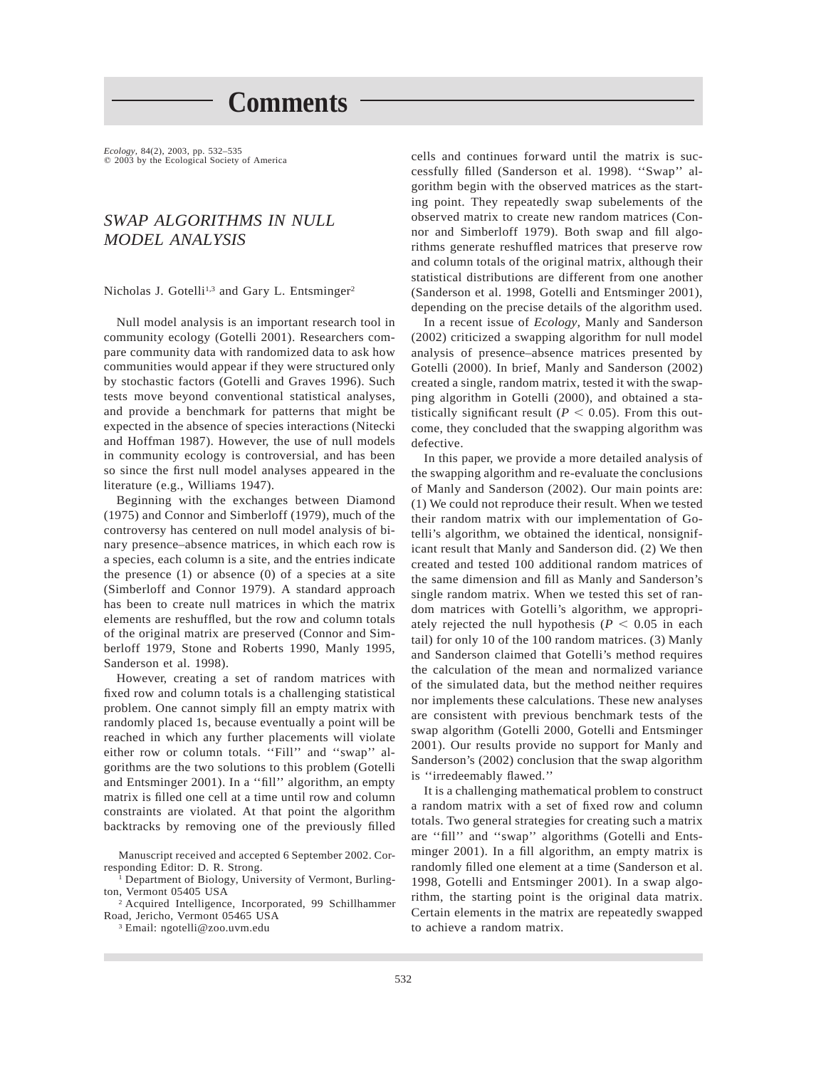**Comments**

*Ecology,* 84(2), 2003, pp. 532–535<br>© 2003 by the Ecological Society of America

# *SWAP ALGORITHMS IN NULL MODEL ANALYSIS*

Nicholas J. Gotelli<sup>1,3</sup> and Gary L. Entsminger<sup>2</sup>

Null model analysis is an important research tool in community ecology (Gotelli 2001). Researchers compare community data with randomized data to ask how communities would appear if they were structured only by stochastic factors (Gotelli and Graves 1996). Such tests move beyond conventional statistical analyses, and provide a benchmark for patterns that might be expected in the absence of species interactions (Nitecki and Hoffman 1987). However, the use of null models in community ecology is controversial, and has been so since the first null model analyses appeared in the literature (e.g., Williams 1947).

Beginning with the exchanges between Diamond (1975) and Connor and Simberloff (1979), much of the controversy has centered on null model analysis of binary presence–absence matrices, in which each row is a species, each column is a site, and the entries indicate the presence  $(1)$  or absence  $(0)$  of a species at a site (Simberloff and Connor 1979). A standard approach has been to create null matrices in which the matrix elements are reshuffled, but the row and column totals of the original matrix are preserved (Connor and Simberloff 1979, Stone and Roberts 1990, Manly 1995, Sanderson et al. 1998).

However, creating a set of random matrices with fixed row and column totals is a challenging statistical problem. One cannot simply fill an empty matrix with randomly placed 1s, because eventually a point will be reached in which any further placements will violate either row or column totals. "Fill" and "swap" algorithms are the two solutions to this problem (Gotelli and Entsminger 2001). In a ''fill'' algorithm, an empty matrix is filled one cell at a time until row and column constraints are violated. At that point the algorithm backtracks by removing one of the previously filled

Department of Biology, University of Vermont, Burlington, Vermont 05405 USA

<sup>2</sup> Acquired Intelligence, Incorporated, 99 Schillhammer Road, Jericho, Vermont 05465 USA

<sup>3</sup> Email: ngotelli@zoo.uvm.edu

cells and continues forward until the matrix is successfully filled (Sanderson et al. 1998). ''Swap'' algorithm begin with the observed matrices as the starting point. They repeatedly swap subelements of the observed matrix to create new random matrices (Connor and Simberloff 1979). Both swap and fill algorithms generate reshuffled matrices that preserve row and column totals of the original matrix, although their statistical distributions are different from one another (Sanderson et al. 1998, Gotelli and Entsminger 2001), depending on the precise details of the algorithm used.

In a recent issue of *Ecology,* Manly and Sanderson (2002) criticized a swapping algorithm for null model analysis of presence–absence matrices presented by Gotelli (2000). In brief, Manly and Sanderson (2002) created a single, random matrix, tested it with the swapping algorithm in Gotelli (2000), and obtained a statistically significant result ( $P < 0.05$ ). From this outcome, they concluded that the swapping algorithm was defective.

In this paper, we provide a more detailed analysis of the swapping algorithm and re-evaluate the conclusions of Manly and Sanderson (2002). Our main points are: (1) We could not reproduce their result. When we tested their random matrix with our implementation of Gotelli's algorithm, we obtained the identical, nonsignificant result that Manly and Sanderson did. (2) We then created and tested 100 additional random matrices of the same dimension and fill as Manly and Sanderson's single random matrix. When we tested this set of random matrices with Gotelli's algorithm, we appropriately rejected the null hypothesis ( $P < 0.05$  in each tail) for only 10 of the 100 random matrices. (3) Manly and Sanderson claimed that Gotelli's method requires the calculation of the mean and normalized variance of the simulated data, but the method neither requires nor implements these calculations. These new analyses are consistent with previous benchmark tests of the swap algorithm (Gotelli 2000, Gotelli and Entsminger 2001). Our results provide no support for Manly and Sanderson's (2002) conclusion that the swap algorithm is ''irredeemably flawed.''

It is a challenging mathematical problem to construct a random matrix with a set of fixed row and column totals. Two general strategies for creating such a matrix are ''fill'' and ''swap'' algorithms (Gotelli and Entsminger 2001). In a fill algorithm, an empty matrix is randomly filled one element at a time (Sanderson et al. 1998, Gotelli and Entsminger 2001). In a swap algorithm, the starting point is the original data matrix. Certain elements in the matrix are repeatedly swapped to achieve a random matrix.

Manuscript received and accepted 6 September 2002. Corresponding Editor: D. R. Strong.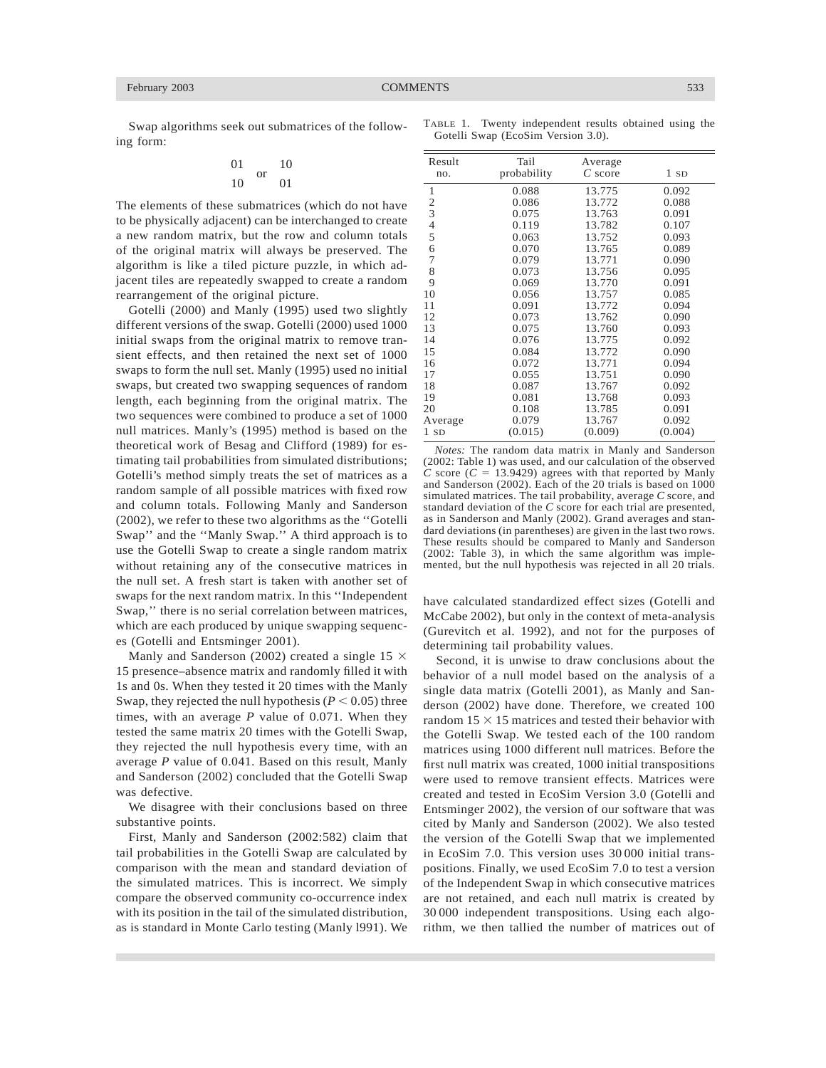Swap algorithms seek out submatrices of the following form:

$$
\begin{array}{cc}\n01 & \text{or} & 10 \\
10 & 01\n\end{array}
$$

The elements of these submatrices (which do not have to be physically adjacent) can be interchanged to create a new random matrix, but the row and column totals of the original matrix will always be preserved. The algorithm is like a tiled picture puzzle, in which adjacent tiles are repeatedly swapped to create a random rearrangement of the original picture.

Gotelli (2000) and Manly (1995) used two slightly different versions of the swap. Gotelli (2000) used 1000 initial swaps from the original matrix to remove transient effects, and then retained the next set of 1000 swaps to form the null set. Manly (1995) used no initial swaps, but created two swapping sequences of random length, each beginning from the original matrix. The two sequences were combined to produce a set of 1000 null matrices. Manly's (1995) method is based on the theoretical work of Besag and Clifford (1989) for estimating tail probabilities from simulated distributions; Gotelli's method simply treats the set of matrices as a random sample of all possible matrices with fixed row and column totals. Following Manly and Sanderson (2002), we refer to these two algorithms as the ''Gotelli Swap'' and the ''Manly Swap.'' A third approach is to use the Gotelli Swap to create a single random matrix without retaining any of the consecutive matrices in the null set. A fresh start is taken with another set of swaps for the next random matrix. In this ''Independent Swap,'' there is no serial correlation between matrices, which are each produced by unique swapping sequences (Gotelli and Entsminger 2001).

Manly and Sanderson (2002) created a single 15  $\times$ 15 presence–absence matrix and randomly filled it with 1s and 0s. When they tested it 20 times with the Manly Swap, they rejected the null hypothesis  $(P < 0.05)$  three times, with an average *P* value of 0.071. When they tested the same matrix 20 times with the Gotelli Swap, they rejected the null hypothesis every time, with an average *P* value of 0.041. Based on this result, Manly and Sanderson (2002) concluded that the Gotelli Swap was defective.

We disagree with their conclusions based on three substantive points.

First, Manly and Sanderson (2002:582) claim that tail probabilities in the Gotelli Swap are calculated by comparison with the mean and standard deviation of the simulated matrices. This is incorrect. We simply compare the observed community co-occurrence index with its position in the tail of the simulated distribution, as is standard in Monte Carlo testing (Manly l991). We

| Result<br>no.           | Tail<br>probability | Average<br>$C$ score | 1SD     |
|-------------------------|---------------------|----------------------|---------|
| 1                       | 0.088               | 13.775               | 0.092   |
| $\overline{\mathbf{c}}$ | 0.086               | 13.772               | 0.088   |
| 3                       | 0.075               | 13.763               | 0.091   |
| $\overline{4}$          | 0.119               | 13.782               | 0.107   |
| 5                       | 0.063               | 13.752               | 0.093   |
| 6                       | 0.070               | 13.765               | 0.089   |
| 7                       | 0.079               | 13.771               | 0.090   |
| 8                       | 0.073               | 13.756               | 0.095   |
| 9                       | 0.069               | 13.770               | 0.091   |
| 10                      | 0.056               | 13.757               | 0.085   |
| 11                      | 0.091               | 13.772               | 0.094   |
| 12                      | 0.073               | 13.762               | 0.090   |
| 13                      | 0.075               | 13.760               | 0.093   |
| 14                      | 0.076               | 13.775               | 0.092   |
| 15                      | 0.084               | 13.772               | 0.090   |
| 16                      | 0.072               | 13.771               | 0.094   |
| 17                      | 0.055               | 13.751               | 0.090   |
| 18                      | 0.087               | 13.767               | 0.092   |
| 19                      | 0.081               | 13.768               | 0.093   |
| 20                      | 0.108               | 13.785               | 0.091   |
| Average                 | 0.079               | 13.767               | 0.092   |
| 1 sd                    | (0.015)             | (0.009)              | (0.004) |

*Notes:* The random data matrix in Manly and Sanderson (2002: Table 1) was used, and our calculation of the observed *C* score ( $C = 13.9429$ ) agrees with that reported by Manly and Sanderson (2002). Each of the 20 trials is based on 1000 simulated matrices. The tail probability, average *C* score, and standard deviation of the *C* score for each trial are presented, as in Sanderson and Manly (2002). Grand averages and standard deviations (in parentheses) are given in the last two rows. These results should be compared to Manly and Sanderson (2002: Table 3), in which the same algorithm was implemented, but the null hypothesis was rejected in all 20 trials.

have calculated standardized effect sizes (Gotelli and McCabe 2002), but only in the context of meta-analysis (Gurevitch et al. 1992), and not for the purposes of determining tail probability values.

Second, it is unwise to draw conclusions about the behavior of a null model based on the analysis of a single data matrix (Gotelli 2001), as Manly and Sanderson (2002) have done. Therefore, we created 100 random  $15 \times 15$  matrices and tested their behavior with the Gotelli Swap. We tested each of the 100 random matrices using 1000 different null matrices. Before the first null matrix was created, 1000 initial transpositions were used to remove transient effects. Matrices were created and tested in EcoSim Version 3.0 (Gotelli and Entsminger 2002), the version of our software that was cited by Manly and Sanderson (2002). We also tested the version of the Gotelli Swap that we implemented in EcoSim 7.0. This version uses 30 000 initial transpositions. Finally, we used EcoSim 7.0 to test a version of the Independent Swap in which consecutive matrices are not retained, and each null matrix is created by 30 000 independent transpositions. Using each algorithm, we then tallied the number of matrices out of

TABLE 1. Twenty independent results obtained using the Gotelli Swap (EcoSim Version 3.0).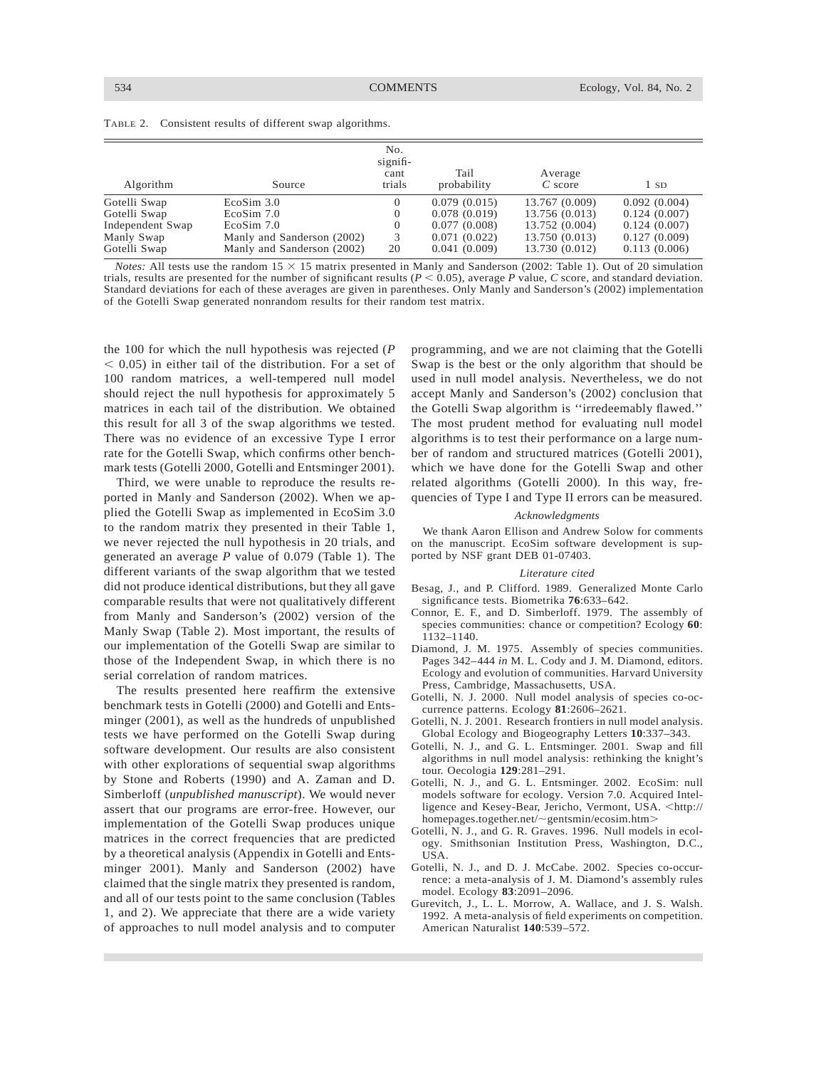|  |  |  |  |  |  | TABLE 2. Consistent results of different swap algorithms. |  |
|--|--|--|--|--|--|-----------------------------------------------------------|--|
|--|--|--|--|--|--|-----------------------------------------------------------|--|

| Algorithm        | Source                     | No.<br>signifi-<br>cant<br>trials | Tail<br>probability | Average<br>$C$ score | 1 SD         |
|------------------|----------------------------|-----------------------------------|---------------------|----------------------|--------------|
| Gotelli Swap     | EcoSim 3.0                 |                                   | 0.079(0.015)        | 13.767 (0.009)       | 0.092(0.004) |
| Gotelli Swap     | EcoSim 7.0                 |                                   | 0.078(0.019)        | 13.756 (0.013)       | 0.124(0.007) |
| Independent Swap | $E \cos \frac{3}{2}$ 7.0   |                                   | 0.077(0.008)        | 13.752 (0.004)       | 0.124(0.007) |
| Manly Swap       | Manly and Sanderson (2002) | 3                                 | 0.071(0.022)        | 13.750 (0.013)       | 0.127(0.009) |
| Gotelli Swap     | Manly and Sanderson (2002) | 20                                | 0.041(0.009)        | 13.730 (0.012)       | 0.113(0.006) |

*Notes:* All tests use the random  $15 \times 15$  matrix presented in Manly and Sanderson (2002: Table 1). Out of 20 simulation trials, results are presented for the number of significant results  $(P < 0.05)$ , average P value, C score, and standard deviation. Standard deviations for each of these averages are given in parentheses. Only Manly and Sanderson's (2002) implementation of the Gotelli Swap generated nonrandom results for their random test matrix.

the 100 for which the null hypothesis was rejected (*P*  $<$  0.05) in either tail of the distribution. For a set of 100 random matrices, a well-tempered null model should reject the null hypothesis for approximately 5 matrices in each tail of the distribution. We obtained this result for all 3 of the swap algorithms we tested. There was no evidence of an excessive Type I error rate for the Gotelli Swap, which confirms other benchmark tests (Gotelli 2000, Gotelli and Entsminger 2001).

Third, we were unable to reproduce the results reported in Manly and Sanderson (2002). When we applied the Gotelli Swap as implemented in EcoSim 3.0 to the random matrix they presented in their Table 1, we never rejected the null hypothesis in 20 trials, and generated an average *P* value of 0.079 (Table 1). The different variants of the swap algorithm that we tested did not produce identical distributions, but they all gave comparable results that were not qualitatively different from Manly and Sanderson's (2002) version of the Manly Swap (Table 2). Most important, the results of our implementation of the Gotelli Swap are similar to those of the Independent Swap, in which there is no serial correlation of random matrices.

The results presented here reaffirm the extensive benchmark tests in Gotelli (2000) and Gotelli and Entsminger (2001), as well as the hundreds of unpublished tests we have performed on the Gotelli Swap during software development. Our results are also consistent with other explorations of sequential swap algorithms by Stone and Roberts (1990) and A. Zaman and D. Simberloff (*unpublished manuscript*). We would never assert that our programs are error-free. However, our implementation of the Gotelli Swap produces unique matrices in the correct frequencies that are predicted by a theoretical analysis (Appendix in Gotelli and Entsminger 2001). Manly and Sanderson (2002) have claimed that the single matrix they presented is random, and all of our tests point to the same conclusion (Tables 1, and 2). We appreciate that there are a wide variety of approaches to null model analysis and to computer programming, and we are not claiming that the Gotelli Swap is the best or the only algorithm that should be used in null model analysis. Nevertheless, we do not accept Manly and Sanderson's (2002) conclusion that the Gotelli Swap algorithm is ''irredeemably flawed.'' The most prudent method for evaluating null model algorithms is to test their performance on a large number of random and structured matrices (Gotelli 2001), which we have done for the Gotelli Swap and other related algorithms (Gotelli 2000). In this way, frequencies of Type I and Type II errors can be measured.

### *Acknowledgments*

We thank Aaron Ellison and Andrew Solow for comments on the manuscript. EcoSim software development is supported by NSF grant DEB 01-07403.

#### *Literature cited*

- Besag, J., and P. Clifford. 1989. Generalized Monte Carlo significance tests. Biometrika **76**:633–642.
- Connor, E. F., and D. Simberloff. 1979. The assembly of species communities: chance or competition? Ecology **60**: 1132–1140.
- Diamond, J. M. 1975. Assembly of species communities. Pages 342–444 *in* M. L. Cody and J. M. Diamond, editors. Ecology and evolution of communities. Harvard University Press, Cambridge, Massachusetts, USA.
- Gotelli, N. J. 2000. Null model analysis of species co-occurrence patterns. Ecology **81**:2606–2621.
- Gotelli, N. J. 2001. Research frontiers in null model analysis. Global Ecology and Biogeography Letters **10**:337–343.
- Gotelli, N. J., and G. L. Entsminger. 2001. Swap and fill algorithms in null model analysis: rethinking the knight's tour. Oecologia **129**:281–291.
- Gotelli, N. J., and G. L. Entsminger. 2002. EcoSim: null models software for ecology. Version 7.0. Acquired Intelligence and Kesey-Bear, Jericho, Vermont, USA. <http:// homepages.together.net/~gentsmin/ecosim.htm>
- Gotelli, N. J., and G. R. Graves. 1996. Null models in ecology. Smithsonian Institution Press, Washington, D.C., USA.
- Gotelli, N. J., and D. J. McCabe. 2002. Species co-occurrence: a meta-analysis of J. M. Diamond's assembly rules model. Ecology **83**:2091–2096.
- Gurevitch, J., L. L. Morrow, A. Wallace, and J. S. Walsh. 1992. A meta-analysis of field experiments on competition. American Naturalist **140**:539–572.